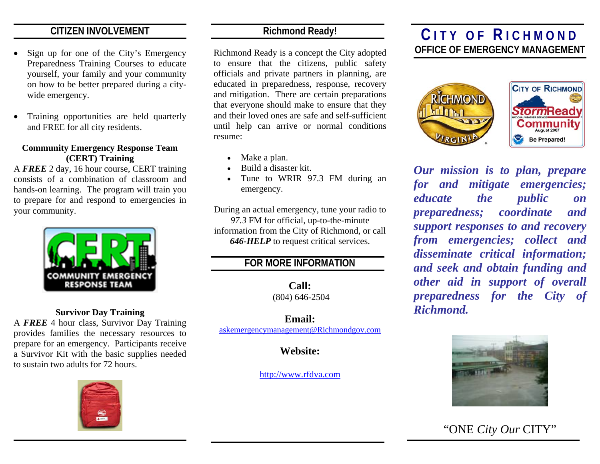# **CITIZEN INVOLVEMENT**

- • Sign up for one of the City's Emergency Preparedness Training Courses to educate yourself, your family and your community on how to be better prepared during a citywide emergency.
- • Training opportunities are held quarterly and FREE for all city residents.

## **Community Emergency Response Team (CERT) Training**

A *FREE* 2 day, 16 hour course, CERT training consists of a combination of classroom and hands-on learning. The program will train you to prepare for and respond to emergencies in your community.



### **Survivor Day Training**

A *FREE* 4 hour class, Survivor Day Training provides families the necessary resources to prepare for an emergency. Participants receive a Survivor Kit with the basic supplies needed to sustain two adults for 72 hours.



# **Richmond Ready!**

Richmond Ready is a concept the City adopted to ensure that the citizens, public safety officials and private partners in planning, are educated in preparedness, response, recovery and mitigation. There are certain preparations that everyone should make to ensure that they and their loved ones are safe and self-sufficient until help can arrive or normal conditions resume:

- •Make a plan.
- •Build a disaster kit.
- • Tune to WRIR 97.3 FM during an emergency.

During an actual emergency, tune your radio to *97.3* FM for official, up-to-the-minute information from the City of Richmond, or call *646-HELP* to request critical services.

# **FOR MORE INFORMATION**

**Call:**  (804) 646-2504

**Email:** askemergencymanagement@Richmondgov.com

**Website:** 

http://www.rfdva.com

# **C ITY OF R ICHMOND OFFICE OF EMERGENCY MANAGEMENT**



*Our mission is to plan, prepare for and mitigate emergencies; educate the public on preparedness; coordinate and support responses to and recovery from emergencies; collect and disseminate critical information; and seek and obtain funding and other aid in support of overall preparedness for the City of Richmond.*



"ONE *City Our* CITY"